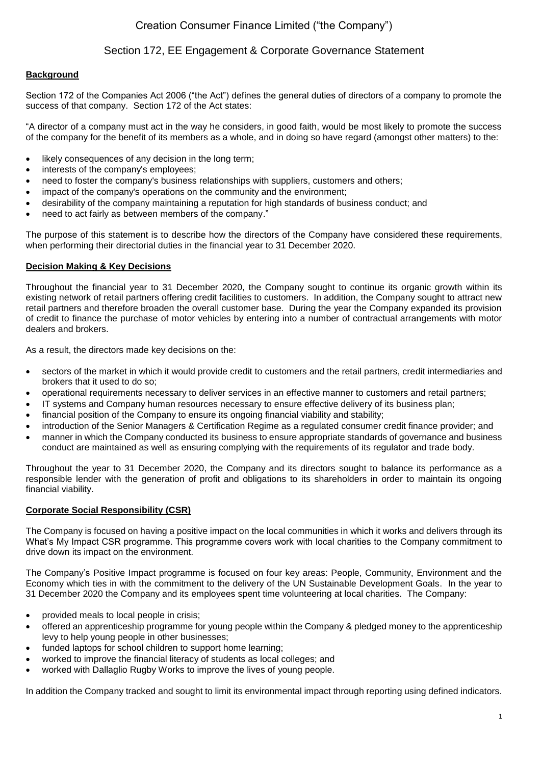# Creation Consumer Finance Limited ("the Company")

# Section 172, EE Engagement & Corporate Governance Statement

## **Background**

Section 172 of the Companies Act 2006 ("the Act") defines the general duties of directors of a company to promote the success of that company. Section 172 of the Act states:

"A director of a company must act in the way he considers, in good faith, would be most likely to promote the success of the company for the benefit of its members as a whole, and in doing so have regard (amongst other matters) to the:

- likely consequences of any decision in the long term;
- interests of the company's employees;
- need to foster the company's business relationships with suppliers, customers and others;
- impact of the company's operations on the community and the environment;
- desirability of the company maintaining a reputation for high standards of business conduct; and
- need to act fairly as between members of the company."

The purpose of this statement is to describe how the directors of the Company have considered these requirements, when performing their directorial duties in the financial year to 31 December 2020.

## **Decision Making & Key Decisions**

Throughout the financial year to 31 December 2020, the Company sought to continue its organic growth within its existing network of retail partners offering credit facilities to customers. In addition, the Company sought to attract new retail partners and therefore broaden the overall customer base. During the year the Company expanded its provision of credit to finance the purchase of motor vehicles by entering into a number of contractual arrangements with motor dealers and brokers.

As a result, the directors made key decisions on the:

- sectors of the market in which it would provide credit to customers and the retail partners, credit intermediaries and brokers that it used to do so;
- operational requirements necessary to deliver services in an effective manner to customers and retail partners;
- IT systems and Company human resources necessary to ensure effective delivery of its business plan;
- financial position of the Company to ensure its ongoing financial viability and stability;
- introduction of the Senior Managers & Certification Regime as a regulated consumer credit finance provider; and
- manner in which the Company conducted its business to ensure appropriate standards of governance and business conduct are maintained as well as ensuring complying with the requirements of its regulator and trade body.

Throughout the year to 31 December 2020, the Company and its directors sought to balance its performance as a responsible lender with the generation of profit and obligations to its shareholders in order to maintain its ongoing financial viability.

## **Corporate Social Responsibility (CSR)**

The Company is focused on having a positive impact on the local communities in which it works and delivers through its What's My Impact CSR programme. This programme covers work with local charities to the Company commitment to drive down its impact on the environment.

The Company's Positive Impact programme is focused on four key areas: People, Community, Environment and the Economy which ties in with the commitment to the delivery of the UN Sustainable Development Goals. In the year to 31 December 2020 the Company and its employees spent time volunteering at local charities. The Company:

- provided meals to local people in crisis;
- offered an apprenticeship programme for young people within the Company & pledged money to the apprenticeship levy to help young people in other businesses;
- funded laptops for school children to support home learning;
- worked to improve the financial literacy of students as local colleges; and
- worked with Dallaglio Rugby Works to improve the lives of young people.

In addition the Company tracked and sought to limit its environmental impact through reporting using defined indicators.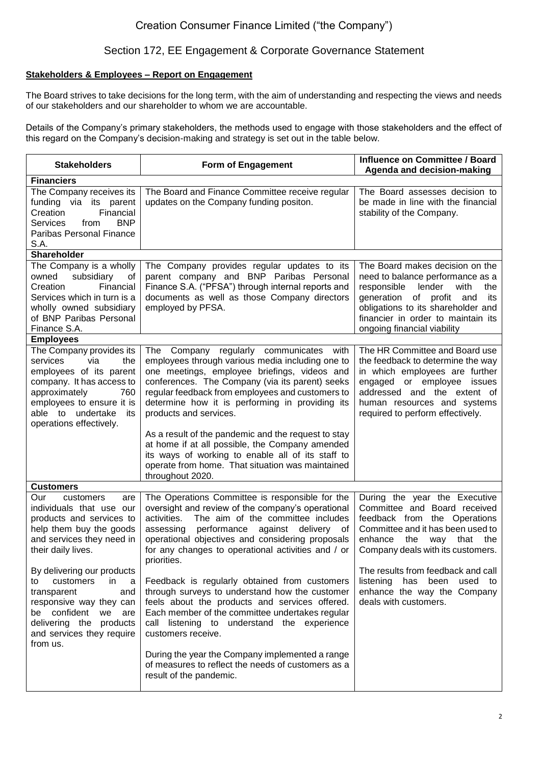# Section 172, EE Engagement & Corporate Governance Statement

## **Stakeholders & Employees – Report on Engagement**

The Board strives to take decisions for the long term, with the aim of understanding and respecting the views and needs of our stakeholders and our shareholder to whom we are accountable.

Details of the Company's primary stakeholders, the methods used to engage with those stakeholders and the effect of this regard on the Company's decision-making and strategy is set out in the table below.

| <b>Stakeholders</b>                                                                                                                                                                                                                                                                                                                                                         | Form of Engagement                                                                                                                                                                                                                                                                                                                                                                                                                                                                                                                                                                                                | Influence on Committee / Board<br>Agenda and decision-making                                                                                                                                                                                                                                                                                |  |  |
|-----------------------------------------------------------------------------------------------------------------------------------------------------------------------------------------------------------------------------------------------------------------------------------------------------------------------------------------------------------------------------|-------------------------------------------------------------------------------------------------------------------------------------------------------------------------------------------------------------------------------------------------------------------------------------------------------------------------------------------------------------------------------------------------------------------------------------------------------------------------------------------------------------------------------------------------------------------------------------------------------------------|---------------------------------------------------------------------------------------------------------------------------------------------------------------------------------------------------------------------------------------------------------------------------------------------------------------------------------------------|--|--|
| <b>Financiers</b>                                                                                                                                                                                                                                                                                                                                                           |                                                                                                                                                                                                                                                                                                                                                                                                                                                                                                                                                                                                                   |                                                                                                                                                                                                                                                                                                                                             |  |  |
| The Company receives its<br>funding via its parent<br>Financial<br>Creation<br><b>BNP</b><br><b>Services</b><br>from<br>Paribas Personal Finance<br>S.A.                                                                                                                                                                                                                    | The Board and Finance Committee receive regular<br>updates on the Company funding positon.                                                                                                                                                                                                                                                                                                                                                                                                                                                                                                                        | The Board assesses decision to<br>be made in line with the financial<br>stability of the Company.                                                                                                                                                                                                                                           |  |  |
| Shareholder                                                                                                                                                                                                                                                                                                                                                                 |                                                                                                                                                                                                                                                                                                                                                                                                                                                                                                                                                                                                                   |                                                                                                                                                                                                                                                                                                                                             |  |  |
| The Company is a wholly<br>owned<br>subsidiary<br>of<br>Financial<br>Creation<br>Services which in turn is a<br>wholly owned subsidiary<br>of BNP Paribas Personal<br>Finance S.A.                                                                                                                                                                                          | The Company provides regular updates to its<br>parent company and BNP Paribas Personal<br>Finance S.A. ("PFSA") through internal reports and<br>documents as well as those Company directors<br>employed by PFSA.                                                                                                                                                                                                                                                                                                                                                                                                 | The Board makes decision on the<br>need to balance performance as a<br>lender<br>responsible<br>with<br>the<br>generation<br>of profit and<br>its<br>obligations to its shareholder and<br>financier in order to maintain its<br>ongoing financial viability                                                                                |  |  |
| <b>Employees</b>                                                                                                                                                                                                                                                                                                                                                            |                                                                                                                                                                                                                                                                                                                                                                                                                                                                                                                                                                                                                   |                                                                                                                                                                                                                                                                                                                                             |  |  |
| The Company provides its<br>services<br>via<br>the<br>employees of its parent<br>company. It has access to<br>approximately<br>760<br>employees to ensure it is<br>able to undertake<br>its<br>operations effectively.                                                                                                                                                      | The Company<br>regularly<br>communicates with<br>employees through various media including one to<br>one meetings, employee briefings, videos and<br>conferences. The Company (via its parent) seeks<br>regular feedback from employees and customers to<br>determine how it is performing in providing its<br>products and services.<br>As a result of the pandemic and the request to stay<br>at home if at all possible, the Company amended<br>its ways of working to enable all of its staff to<br>operate from home. That situation was maintained<br>throughout 2020.                                      | The HR Committee and Board use<br>the feedback to determine the way<br>in which employees are further<br>engaged or employee issues<br>addressed and the extent of<br>human resources and systems<br>required to perform effectively.                                                                                                       |  |  |
| <b>Customers</b>                                                                                                                                                                                                                                                                                                                                                            |                                                                                                                                                                                                                                                                                                                                                                                                                                                                                                                                                                                                                   |                                                                                                                                                                                                                                                                                                                                             |  |  |
| Our<br>customers<br>are<br>individuals that use our<br>products and services to<br>help them buy the goods<br>and services they need in<br>their daily lives.<br>By delivering our products<br>in<br>customers<br>a<br>to<br>transparent<br>and<br>responsive way they can<br>be confident<br>we<br>are<br>delivering the products<br>and services they require<br>from us. | The Operations Committee is responsible for the<br>oversight and review of the company's operational<br>The aim of the committee includes<br>activities.<br>performance<br>assessing<br>against delivery of<br>operational objectives and considering proposals<br>for any changes to operational activities and / or<br>priorities.<br>Feedback is regularly obtained from customers<br>through surveys to understand how the customer<br>feels about the products and services offered.<br>Each member of the committee undertakes regular<br>call listening to understand the experience<br>customers receive. | During the year the Executive<br>Committee and Board received<br>feedback from the Operations<br>Committee and it has been used to<br>enhance<br>the<br>that<br>the<br>way<br>Company deals with its customers.<br>The results from feedback and call<br>listening has been used to<br>enhance the way the Company<br>deals with customers. |  |  |
|                                                                                                                                                                                                                                                                                                                                                                             | During the year the Company implemented a range<br>of measures to reflect the needs of customers as a<br>result of the pandemic.                                                                                                                                                                                                                                                                                                                                                                                                                                                                                  |                                                                                                                                                                                                                                                                                                                                             |  |  |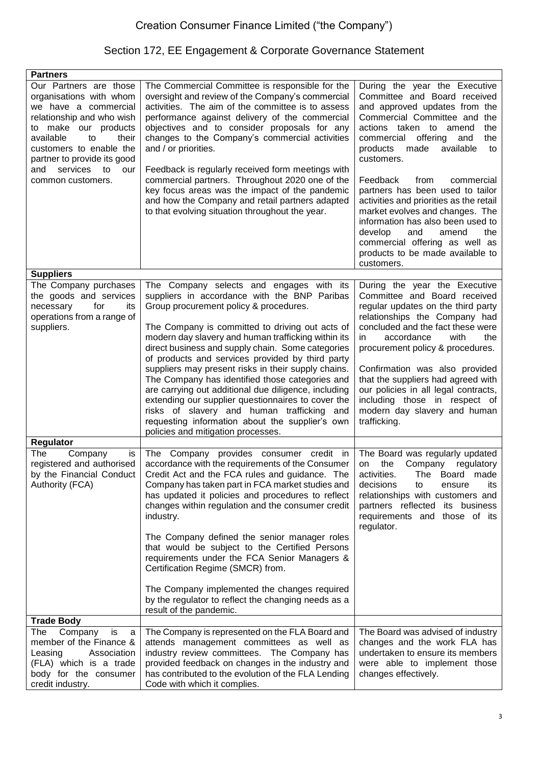# Section 172, EE Engagement & Corporate Governance Statement

| <b>Partners</b>                                                                                                                                                                                                                                                           |                                                                                                                                                                                                                                                                                                                                                                                                                                                                                                                                                                                                                                                                                                                         |                                                                                                                                                                                                                                                                                                                                                                                                                                                                                                                                                                             |
|---------------------------------------------------------------------------------------------------------------------------------------------------------------------------------------------------------------------------------------------------------------------------|-------------------------------------------------------------------------------------------------------------------------------------------------------------------------------------------------------------------------------------------------------------------------------------------------------------------------------------------------------------------------------------------------------------------------------------------------------------------------------------------------------------------------------------------------------------------------------------------------------------------------------------------------------------------------------------------------------------------------|-----------------------------------------------------------------------------------------------------------------------------------------------------------------------------------------------------------------------------------------------------------------------------------------------------------------------------------------------------------------------------------------------------------------------------------------------------------------------------------------------------------------------------------------------------------------------------|
| Our Partners are those<br>organisations with whom<br>we have a commercial<br>relationship and who wish<br>to make our products<br>available<br>their<br>to<br>customers to enable the<br>partner to provide its good<br>services<br>and<br>to<br>our<br>common customers. | The Commercial Committee is responsible for the<br>oversight and review of the Company's commercial<br>activities. The aim of the committee is to assess<br>performance against delivery of the commercial<br>objectives and to consider proposals for any<br>changes to the Company's commercial activities<br>and / or priorities.<br>Feedback is regularly received form meetings with<br>commercial partners. Throughout 2020 one of the<br>key focus areas was the impact of the pandemic<br>and how the Company and retail partners adapted<br>to that evolving situation throughout the year.                                                                                                                    | During the year the Executive<br>Committee and Board received<br>and approved updates from the<br>Commercial Committee and<br>the<br>actions taken to amend<br>the<br>commercial offering<br>and<br>the<br>products<br>available<br>made<br>to<br>customers.<br>Feedback<br>from<br>commercial<br>partners has been used to tailor<br>activities and priorities as the retail<br>market evolves and changes. The<br>information has also been used to<br>develop<br>and<br>amend<br>the<br>commercial offering as well as<br>products to be made available to<br>customers. |
| <b>Suppliers</b>                                                                                                                                                                                                                                                          |                                                                                                                                                                                                                                                                                                                                                                                                                                                                                                                                                                                                                                                                                                                         |                                                                                                                                                                                                                                                                                                                                                                                                                                                                                                                                                                             |
| The Company purchases<br>the goods and services<br>necessary<br>for<br>its<br>operations from a range of<br>suppliers.                                                                                                                                                    | The Company selects and engages with its<br>suppliers in accordance with the BNP Paribas<br>Group procurement policy & procedures.<br>The Company is committed to driving out acts of<br>modern day slavery and human trafficking within its<br>direct business and supply chain. Some categories<br>of products and services provided by third party<br>suppliers may present risks in their supply chains.<br>The Company has identified those categories and<br>are carrying out additional due diligence, including<br>extending our supplier questionnaires to cover the<br>risks of slavery and human trafficking<br>and<br>requesting information about the supplier's own<br>policies and mitigation processes. | During the year the Executive<br>Committee and Board received<br>regular updates on the third party<br>relationships the Company had<br>concluded and the fact these were<br>accordance<br>with<br>the<br>in.<br>procurement policy & procedures.<br>Confirmation was also provided<br>that the suppliers had agreed with<br>our policies in all legal contracts,<br>including those in respect of<br>modern day slavery and human<br>trafficking.                                                                                                                          |
| <b>Regulator</b>                                                                                                                                                                                                                                                          |                                                                                                                                                                                                                                                                                                                                                                                                                                                                                                                                                                                                                                                                                                                         |                                                                                                                                                                                                                                                                                                                                                                                                                                                                                                                                                                             |
| The<br>Company<br>is<br>registered and authorised<br>by the Financial Conduct<br>Authority (FCA)<br><b>Trade Body</b>                                                                                                                                                     | The Company provides consumer credit in<br>accordance with the requirements of the Consumer<br>Credit Act and the FCA rules and guidance. The<br>Company has taken part in FCA market studies and<br>has updated it policies and procedures to reflect<br>changes within regulation and the consumer credit<br>industry.<br>The Company defined the senior manager roles<br>that would be subject to the Certified Persons<br>requirements under the FCA Senior Managers &<br>Certification Regime (SMCR) from.<br>The Company implemented the changes required<br>by the regulator to reflect the changing needs as a<br>result of the pandemic.                                                                       | The Board was regularly updated<br>regulatory<br>Company<br>the<br>on<br>activities.<br>The Board made<br>decisions<br>ensure<br>its<br>to<br>relationships with customers and<br>partners reflected its business<br>requirements and those of its<br>regulator.                                                                                                                                                                                                                                                                                                            |
|                                                                                                                                                                                                                                                                           |                                                                                                                                                                                                                                                                                                                                                                                                                                                                                                                                                                                                                                                                                                                         |                                                                                                                                                                                                                                                                                                                                                                                                                                                                                                                                                                             |
| The<br>Company<br>is<br>a<br>member of the Finance &<br>Association<br>Leasing<br>(FLA) which is a trade<br>body for the consumer<br>credit industry.                                                                                                                     | The Company is represented on the FLA Board and<br>attends management committees as well as<br>industry review committees. The Company has<br>provided feedback on changes in the industry and<br>has contributed to the evolution of the FLA Lending<br>Code with which it complies.                                                                                                                                                                                                                                                                                                                                                                                                                                   | The Board was advised of industry<br>changes and the work FLA has<br>undertaken to ensure its members<br>were able to implement those<br>changes effectively.                                                                                                                                                                                                                                                                                                                                                                                                               |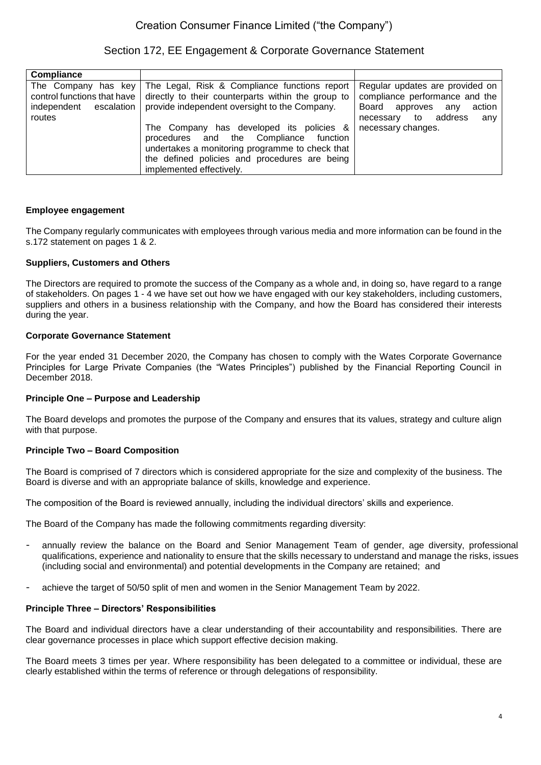Section 172, EE Engagement & Corporate Governance Statement

| <b>Compliance</b>                                                                         |                                                                                                                                                                                                                       |                                                                                                                                           |
|-------------------------------------------------------------------------------------------|-----------------------------------------------------------------------------------------------------------------------------------------------------------------------------------------------------------------------|-------------------------------------------------------------------------------------------------------------------------------------------|
| The Company has key<br>control functions that have<br>independent<br>escalation<br>routes | The Legal, Risk & Compliance functions report<br>directly to their counterparts within the group to<br>provide independent oversight to the Company.                                                                  | Regular updates are provided on<br>compliance performance and the<br>Board approves<br>action<br>any<br>address<br>to<br>any<br>necessary |
|                                                                                           | The Company has developed its policies &<br>procedures and the Compliance<br>function<br>undertakes a monitoring programme to check that<br>the defined policies and procedures are being<br>implemented effectively. | necessary changes.                                                                                                                        |

## **Employee engagement**

The Company regularly communicates with employees through various media and more information can be found in the s.172 statement on pages 1 & 2.

## **Suppliers, Customers and Others**

The Directors are required to promote the success of the Company as a whole and, in doing so, have regard to a range of stakeholders. On pages 1 - 4 we have set out how we have engaged with our key stakeholders, including customers, suppliers and others in a business relationship with the Company, and how the Board has considered their interests during the year.

#### **Corporate Governance Statement**

For the year ended 31 December 2020, the Company has chosen to comply with the Wates Corporate Governance Principles for Large Private Companies (the "Wates Principles") published by the Financial Reporting Council in December 2018.

#### **Principle One – Purpose and Leadership**

The Board develops and promotes the purpose of the Company and ensures that its values, strategy and culture align with that purpose.

## **Principle Two – Board Composition**

The Board is comprised of 7 directors which is considered appropriate for the size and complexity of the business. The Board is diverse and with an appropriate balance of skills, knowledge and experience.

The composition of the Board is reviewed annually, including the individual directors' skills and experience.

The Board of the Company has made the following commitments regarding diversity:

- annually review the balance on the Board and Senior Management Team of gender, age diversity, professional qualifications, experience and nationality to ensure that the skills necessary to understand and manage the risks, issues (including social and environmental) and potential developments in the Company are retained; and
- achieve the target of 50/50 split of men and women in the Senior Management Team by 2022.

#### **Principle Three – Directors' Responsibilities**

The Board and individual directors have a clear understanding of their accountability and responsibilities. There are clear governance processes in place which support effective decision making.

The Board meets 3 times per year. Where responsibility has been delegated to a committee or individual, these are clearly established within the terms of reference or through delegations of responsibility.